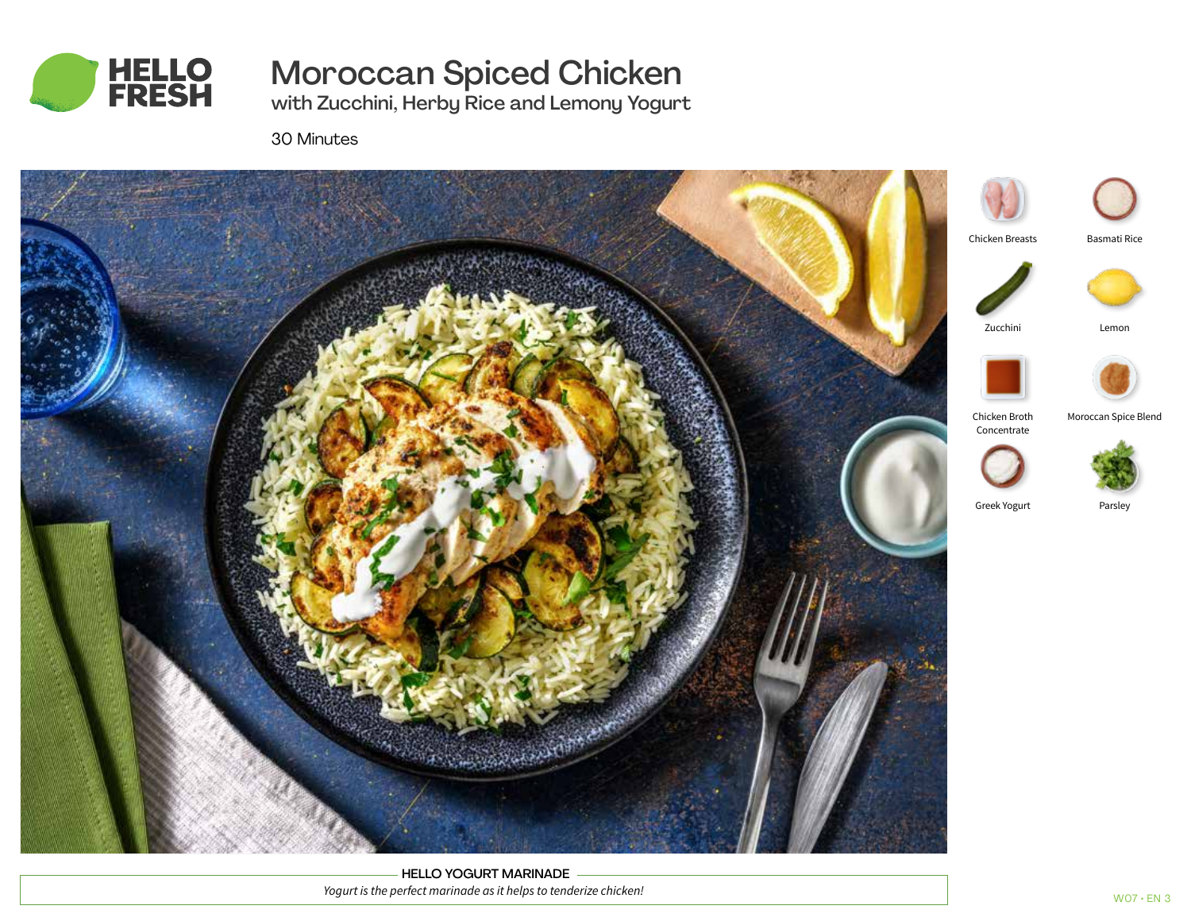

# Moroccan Spiced Chicken

with Zucchini, Herby Rice and Lemony Yogurt

30 Minutes



HELLO YOGURT MARINADE *Yogurt is the perfect marinade as it helps to tenderize chicken!*